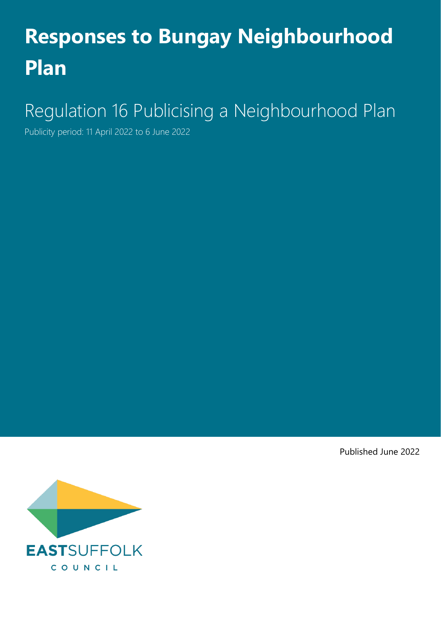# **Responses to Bungay Neighbourhood Plan**

## Regulation 16 Publicising a Neighbourhood Plan

Publicity period: 11 April 2022 to 6 June 2022

Published June 2022

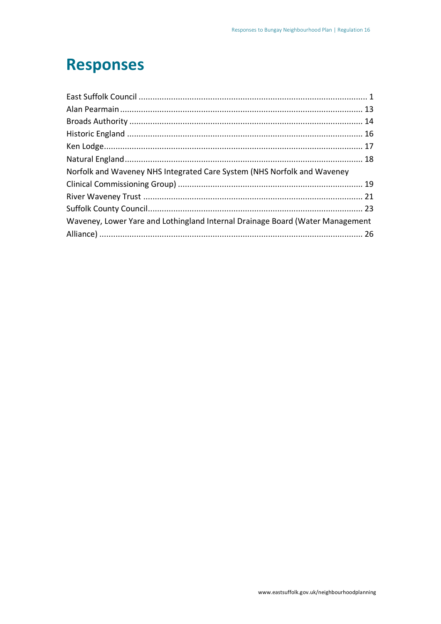### **Responses**

| Norfolk and Waveney NHS Integrated Care System (NHS Norfolk and Waveney       |  |
|-------------------------------------------------------------------------------|--|
|                                                                               |  |
|                                                                               |  |
|                                                                               |  |
| Waveney, Lower Yare and Lothingland Internal Drainage Board (Water Management |  |
|                                                                               |  |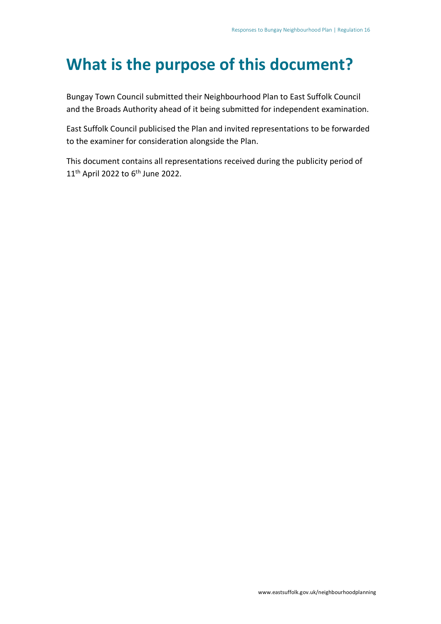### **What is the purpose of this document?**

Bungay Town Council submitted their Neighbourhood Plan to East Suffolk Council and the Broads Authority ahead of it being submitted for independent examination.

East Suffolk Council publicised the Plan and invited representations to be forwarded to the examiner for consideration alongside the Plan.

This document contains all representations received during the publicity period of  $11<sup>th</sup>$  April 2022 to 6<sup>th</sup> June 2022.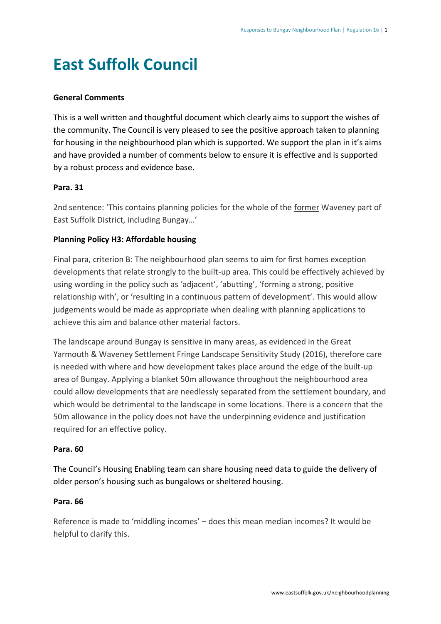### <span id="page-3-0"></span>**East Suffolk Council**

#### **General Comments**

This is a well written and thoughtful document which clearly aims to support the wishes of the community. The Council is very pleased to see the positive approach taken to planning for housing in the neighbourhood plan which is supported. We support the plan in it's aims and have provided a number of comments below to ensure it is effective and is supported by a robust process and evidence base.

#### **Para. 31**

2nd sentence: 'This contains planning policies for the whole of the former Waveney part of East Suffolk District, including Bungay…'

#### **Planning Policy H3: Affordable housing**

Final para, criterion B: The neighbourhood plan seems to aim for first homes exception developments that relate strongly to the built-up area. This could be effectively achieved by using wording in the policy such as 'adjacent', 'abutting', 'forming a strong, positive relationship with', or 'resulting in a continuous pattern of development'. This would allow judgements would be made as appropriate when dealing with planning applications to achieve this aim and balance other material factors.

The landscape around Bungay is sensitive in many areas, as evidenced in the Great Yarmouth & Waveney Settlement Fringe Landscape Sensitivity Study (2016), therefore care is needed with where and how development takes place around the edge of the built-up area of Bungay. Applying a blanket 50m allowance throughout the neighbourhood area could allow developments that are needlessly separated from the settlement boundary, and which would be detrimental to the landscape in some locations. There is a concern that the 50m allowance in the policy does not have the underpinning evidence and justification required for an effective policy.

#### **Para. 60**

The Council's Housing Enabling team can share housing need data to guide the delivery of older person's housing such as bungalows or sheltered housing.

#### **Para. 66**

Reference is made to 'middling incomes' – does this mean median incomes? It would be helpful to clarify this.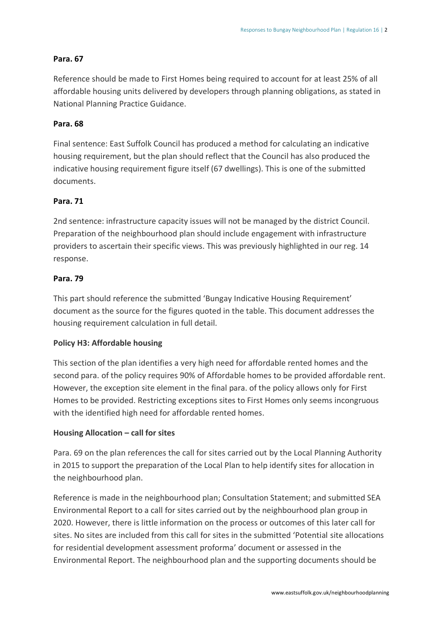#### **Para. 67**

Reference should be made to First Homes being required to account for at least 25% of all affordable housing units delivered by developers through planning obligations, as stated in National Planning Practice Guidance.

#### **Para. 68**

Final sentence: East Suffolk Council has produced a method for calculating an indicative housing requirement, but the plan should reflect that the Council has also produced the indicative housing requirement figure itself (67 dwellings). This is one of the submitted documents.

#### **Para. 71**

2nd sentence: infrastructure capacity issues will not be managed by the district Council. Preparation of the neighbourhood plan should include engagement with infrastructure providers to ascertain their specific views. This was previously highlighted in our reg. 14 response.

#### **Para. 79**

This part should reference the submitted 'Bungay Indicative Housing Requirement' document as the source for the figures quoted in the table. This document addresses the housing requirement calculation in full detail.

#### **Policy H3: Affordable housing**

This section of the plan identifies a very high need for affordable rented homes and the second para. of the policy requires 90% of Affordable homes to be provided affordable rent. However, the exception site element in the final para. of the policy allows only for First Homes to be provided. Restricting exceptions sites to First Homes only seems incongruous with the identified high need for affordable rented homes.

#### **Housing Allocation – call for sites**

Para. 69 on the plan references the call for sites carried out by the Local Planning Authority in 2015 to support the preparation of the Local Plan to help identify sites for allocation in the neighbourhood plan.

Reference is made in the neighbourhood plan; Consultation Statement; and submitted SEA Environmental Report to a call for sites carried out by the neighbourhood plan group in 2020. However, there is little information on the process or outcomes of this later call for sites. No sites are included from this call for sites in the submitted 'Potential site allocations for residential development assessment proforma' document or assessed in the Environmental Report. The neighbourhood plan and the supporting documents should be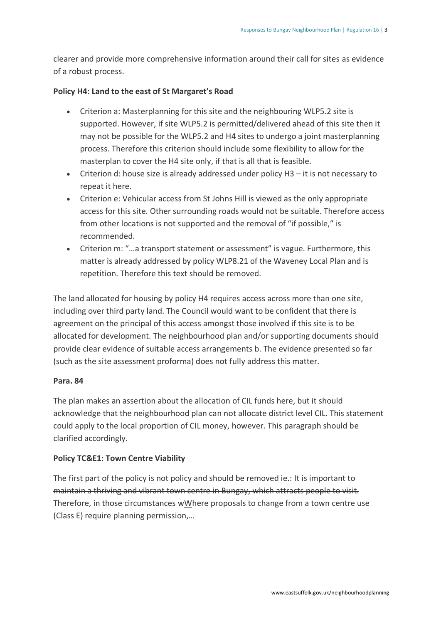clearer and provide more comprehensive information around their call for sites as evidence of a robust process.

#### **Policy H4: Land to the east of St Margaret's Road**

- Criterion a: Masterplanning for this site and the neighbouring WLP5.2 site is supported. However, if site WLP5.2 is permitted/delivered ahead of this site then it may not be possible for the WLP5.2 and H4 sites to undergo a joint masterplanning process. Therefore this criterion should include some flexibility to allow for the masterplan to cover the H4 site only, if that is all that is feasible.
- Criterion d: house size is already addressed under policy H3 it is not necessary to repeat it here.
- Criterion e: Vehicular access from St Johns Hill is viewed as the only appropriate access for this site. Other surrounding roads would not be suitable. Therefore access from other locations is not supported and the removal of "if possible," is recommended.
- Criterion m: "…a transport statement or assessment" is vague. Furthermore, this matter is already addressed by policy WLP8.21 of the Waveney Local Plan and is repetition. Therefore this text should be removed.

The land allocated for housing by policy H4 requires access across more than one site, including over third party land. The Council would want to be confident that there is agreement on the principal of this access amongst those involved if this site is to be allocated for development. The neighbourhood plan and/or supporting documents should provide clear evidence of suitable access arrangements b. The evidence presented so far (such as the site assessment proforma) does not fully address this matter.

#### **Para. 84**

The plan makes an assertion about the allocation of CIL funds here, but it should acknowledge that the neighbourhood plan can not allocate district level CIL. This statement could apply to the local proportion of CIL money, however. This paragraph should be clarified accordingly.

#### **Policy TC&E1: Town Centre Viability**

The first part of the policy is not policy and should be removed ie.: It is important to maintain a thriving and vibrant town centre in Bungay, which attracts people to visit. Therefore, in those circumstances wWhere proposals to change from a town centre use (Class E) require planning permission,…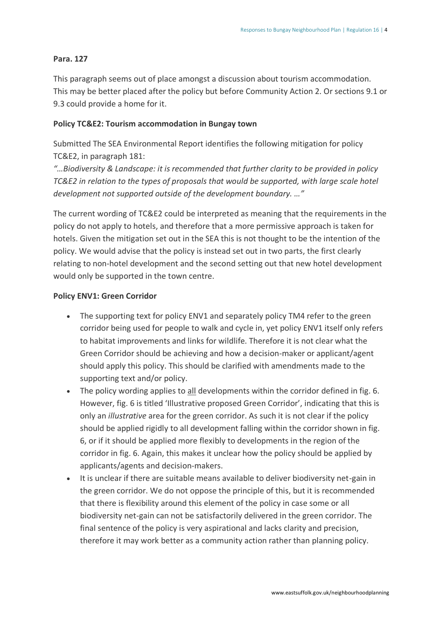#### **Para. 127**

This paragraph seems out of place amongst a discussion about tourism accommodation. This may be better placed after the policy but before Community Action 2. Or sections 9.1 or 9.3 could provide a home for it.

#### **Policy TC&E2: Tourism accommodation in Bungay town**

Submitted The SEA Environmental Report identifies the following mitigation for policy TC&E2, in paragraph 181:

*"…Biodiversity & Landscape: it is recommended that further clarity to be provided in policy TC&E2 in relation to the types of proposals that would be supported, with large scale hotel development not supported outside of the development boundary. …"*

The current wording of TC&E2 could be interpreted as meaning that the requirements in the policy do not apply to hotels, and therefore that a more permissive approach is taken for hotels. Given the mitigation set out in the SEA this is not thought to be the intention of the policy. We would advise that the policy is instead set out in two parts, the first clearly relating to non-hotel development and the second setting out that new hotel development would only be supported in the town centre.

#### **Policy ENV1: Green Corridor**

- The supporting text for policy ENV1 and separately policy TM4 refer to the green corridor being used for people to walk and cycle in, yet policy ENV1 itself only refers to habitat improvements and links for wildlife. Therefore it is not clear what the Green Corridor should be achieving and how a decision-maker or applicant/agent should apply this policy. This should be clarified with amendments made to the supporting text and/or policy.
- The policy wording applies to all developments within the corridor defined in fig. 6. However, fig. 6 is titled 'Illustrative proposed Green Corridor', indicating that this is only an *illustrative* area for the green corridor. As such it is not clear if the policy should be applied rigidly to all development falling within the corridor shown in fig. 6, or if it should be applied more flexibly to developments in the region of the corridor in fig. 6. Again, this makes it unclear how the policy should be applied by applicants/agents and decision-makers.
- It is unclear if there are suitable means available to deliver biodiversity net-gain in the green corridor. We do not oppose the principle of this, but it is recommended that there is flexibility around this element of the policy in case some or all biodiversity net-gain can not be satisfactorily delivered in the green corridor. The final sentence of the policy is very aspirational and lacks clarity and precision, therefore it may work better as a community action rather than planning policy.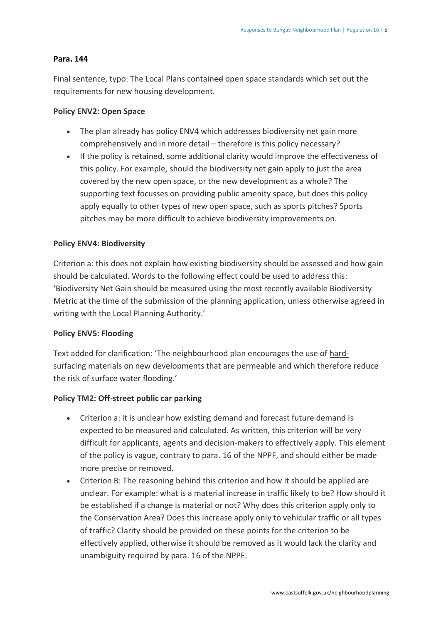#### **Para. 144**

Final sentence, typo: The Local Plans contained open space standards which set out the requirements for new housing development.

#### **Policy ENV2: Open Space**

- The plan already has policy ENV4 which addresses biodiversity net gain more comprehensively and in more detail – therefore is this policy necessary?
- If the policy is retained, some additional clarity would improve the effectiveness of this policy. For example, should the biodiversity net gain apply to just the area covered by the new open space, or the new development as a whole? The supporting text focusses on providing public amenity space, but does this policy apply equally to other types of new open space, such as sports pitches? Sports pitches may be more difficult to achieve biodiversity improvements on.

#### **Policy ENV4: Biodiversity**

Criterion a: this does not explain how existing biodiversity should be assessed and how gain should be calculated. Words to the following effect could be used to address this: 'Biodiversity Net Gain should be measured using the most recently available Biodiversity Metric at the time of the submission of the planning application, unless otherwise agreed in writing with the Local Planning Authority.'

#### **Policy ENV5: Flooding**

Text added for clarification: 'The neighbourhood plan encourages the use of hardsurfacing materials on new developments that are permeable and which therefore reduce the risk of surface water flooding.'

#### **Policy TM2: Off-street public car parking**

- Criterion a: it is unclear how existing demand and forecast future demand is expected to be measured and calculated. As written, this criterion will be very difficult for applicants, agents and decision-makers to effectively apply. This element of the policy is vague, contrary to para. 16 of the NPPF, and should either be made more precise or removed.
- Criterion B: The reasoning behind this criterion and how it should be applied are unclear. For example: what is a material increase in traffic likely to be? How should it be established if a change is material or not? Why does this criterion apply only to the Conservation Area? Does this increase apply only to vehicular traffic or all types of traffic? Clarity should be provided on these points for the criterion to be effectively applied, otherwise it should be removed as it would lack the clarity and unambiguity required by para. 16 of the NPPF.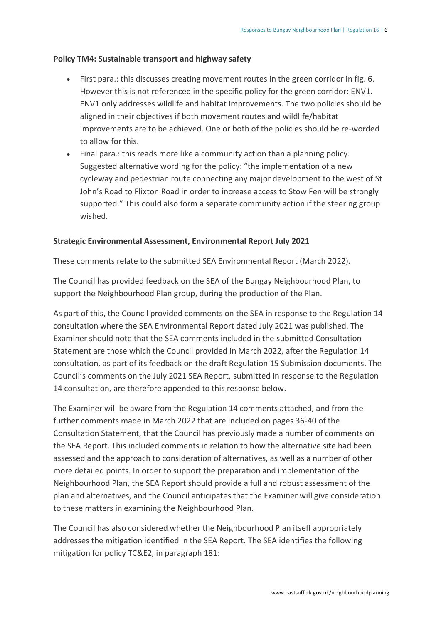#### **Policy TM4: Sustainable transport and highway safety**

- First para.: this discusses creating movement routes in the green corridor in fig. 6. However this is not referenced in the specific policy for the green corridor: ENV1. ENV1 only addresses wildlife and habitat improvements. The two policies should be aligned in their objectives if both movement routes and wildlife/habitat improvements are to be achieved. One or both of the policies should be re-worded to allow for this.
- Final para.: this reads more like a community action than a planning policy. Suggested alternative wording for the policy: "the implementation of a new cycleway and pedestrian route connecting any major development to the west of St John's Road to Flixton Road in order to increase access to Stow Fen will be strongly supported." This could also form a separate community action if the steering group wished.

#### **Strategic Environmental Assessment, Environmental Report July 2021**

These comments relate to the submitted SEA Environmental Report (March 2022).

The Council has provided feedback on the SEA of the Bungay Neighbourhood Plan, to support the Neighbourhood Plan group, during the production of the Plan.

As part of this, the Council provided comments on the SEA in response to the Regulation 14 consultation where the SEA Environmental Report dated July 2021 was published. The Examiner should note that the SEA comments included in the submitted Consultation Statement are those which the Council provided in March 2022, after the Regulation 14 consultation, as part of its feedback on the draft Regulation 15 Submission documents. The Council's comments on the July 2021 SEA Report, submitted in response to the Regulation 14 consultation, are therefore appended to this response below.

The Examiner will be aware from the Regulation 14 comments attached, and from the further comments made in March 2022 that are included on pages 36-40 of the Consultation Statement, that the Council has previously made a number of comments on the SEA Report. This included comments in relation to how the alternative site had been assessed and the approach to consideration of alternatives, as well as a number of other more detailed points. In order to support the preparation and implementation of the Neighbourhood Plan, the SEA Report should provide a full and robust assessment of the plan and alternatives, and the Council anticipates that the Examiner will give consideration to these matters in examining the Neighbourhood Plan.

The Council has also considered whether the Neighbourhood Plan itself appropriately addresses the mitigation identified in the SEA Report. The SEA identifies the following mitigation for policy TC&E2, in paragraph 181: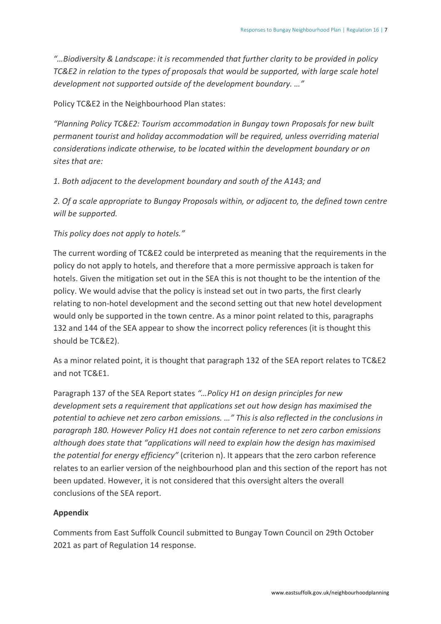*"…Biodiversity & Landscape: it is recommended that further clarity to be provided in policy TC&E2 in relation to the types of proposals that would be supported, with large scale hotel development not supported outside of the development boundary. …"*

#### Policy TC&E2 in the Neighbourhood Plan states:

*"Planning Policy TC&E2: Tourism accommodation in Bungay town Proposals for new built permanent tourist and holiday accommodation will be required, unless overriding material considerations indicate otherwise, to be located within the development boundary or on sites that are:*

*1. Both adjacent to the development boundary and south of the A143; and*

*2. Of a scale appropriate to Bungay Proposals within, or adjacent to, the defined town centre will be supported.*

#### *This policy does not apply to hotels."*

The current wording of TC&E2 could be interpreted as meaning that the requirements in the policy do not apply to hotels, and therefore that a more permissive approach is taken for hotels. Given the mitigation set out in the SEA this is not thought to be the intention of the policy. We would advise that the policy is instead set out in two parts, the first clearly relating to non-hotel development and the second setting out that new hotel development would only be supported in the town centre. As a minor point related to this, paragraphs 132 and 144 of the SEA appear to show the incorrect policy references (it is thought this should be TC&E2).

As a minor related point, it is thought that paragraph 132 of the SEA report relates to TC&E2 and not TC&E1.

Paragraph 137 of the SEA Report states *"…Policy H1 on design principles for new development sets a requirement that applications set out how design has maximised the potential to achieve net zero carbon emissions. …" This is also reflected in the conclusions in paragraph 180. However Policy H1 does not contain reference to net zero carbon emissions although does state that "applications will need to explain how the design has maximised the potential for energy efficiency"* (criterion n). It appears that the zero carbon reference relates to an earlier version of the neighbourhood plan and this section of the report has not been updated. However, it is not considered that this oversight alters the overall conclusions of the SEA report.

#### **Appendix**

Comments from East Suffolk Council submitted to Bungay Town Council on 29th October 2021 as part of Regulation 14 response.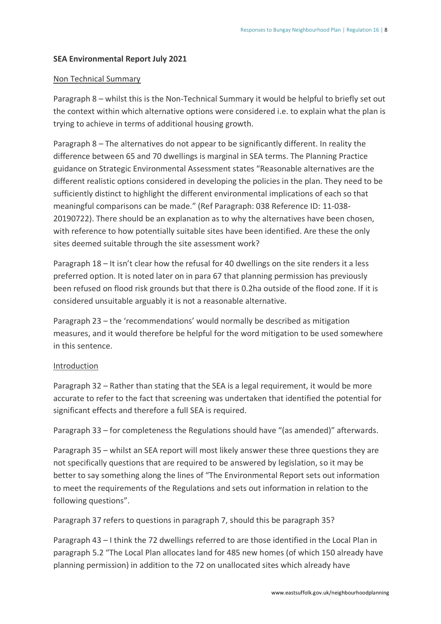#### **SEA Environmental Report July 2021**

#### Non Technical Summary

Paragraph 8 – whilst this is the Non-Technical Summary it would be helpful to briefly set out the context within which alternative options were considered i.e. to explain what the plan is trying to achieve in terms of additional housing growth.

Paragraph 8 – The alternatives do not appear to be significantly different. In reality the difference between 65 and 70 dwellings is marginal in SEA terms. The Planning Practice guidance on Strategic Environmental Assessment states "Reasonable alternatives are the different realistic options considered in developing the policies in the plan. They need to be sufficiently distinct to highlight the different environmental implications of each so that meaningful comparisons can be made." (Ref Paragraph: 038 Reference ID: 11-038- 20190722). There should be an explanation as to why the alternatives have been chosen, with reference to how potentially suitable sites have been identified. Are these the only sites deemed suitable through the site assessment work?

Paragraph 18 – It isn't clear how the refusal for 40 dwellings on the site renders it a less preferred option. It is noted later on in para 67 that planning permission has previously been refused on flood risk grounds but that there is 0.2ha outside of the flood zone. If it is considered unsuitable arguably it is not a reasonable alternative.

Paragraph 23 – the 'recommendations' would normally be described as mitigation measures, and it would therefore be helpful for the word mitigation to be used somewhere in this sentence.

#### Introduction

Paragraph 32 – Rather than stating that the SEA is a legal requirement, it would be more accurate to refer to the fact that screening was undertaken that identified the potential for significant effects and therefore a full SEA is required.

Paragraph 33 – for completeness the Regulations should have "(as amended)" afterwards.

Paragraph 35 – whilst an SEA report will most likely answer these three questions they are not specifically questions that are required to be answered by legislation, so it may be better to say something along the lines of "The Environmental Report sets out information to meet the requirements of the Regulations and sets out information in relation to the following questions".

Paragraph 37 refers to questions in paragraph 7, should this be paragraph 35?

Paragraph 43 – I think the 72 dwellings referred to are those identified in the Local Plan in paragraph 5.2 "The Local Plan allocates land for 485 new homes (of which 150 already have planning permission) in addition to the 72 on unallocated sites which already have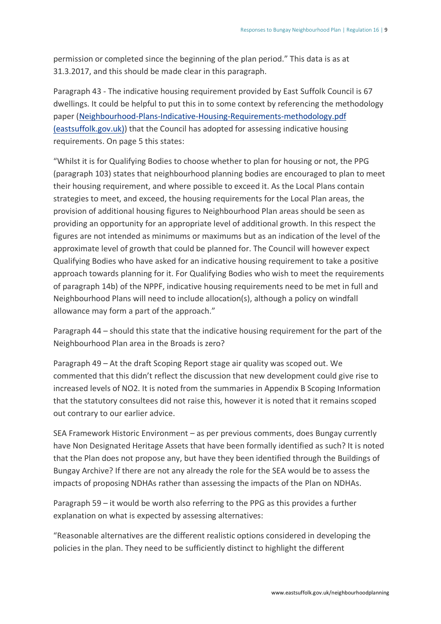permission or completed since the beginning of the plan period." This data is as at 31.3.2017, and this should be made clear in this paragraph.

Paragraph 43 - The indicative housing requirement provided by East Suffolk Council is 67 dwellings. It could be helpful to put this in to some context by referencing the methodology paper [\(Neighbourhood-Plans-Indicative-Housing-Requirements-methodology.pdf](https://www.eastsuffolk.gov.uk/assets/Planning/Neighbourhood-Planning/Preparing-a-Neighbourhood-Plan/Neighbourhood-Plans-Indicative-Housing-Requirements-methodology.pdf) [\(eastsuffolk.gov.uk\)\)](https://www.eastsuffolk.gov.uk/assets/Planning/Neighbourhood-Planning/Preparing-a-Neighbourhood-Plan/Neighbourhood-Plans-Indicative-Housing-Requirements-methodology.pdf) that the Council has adopted for assessing indicative housing requirements. On page 5 this states:

"Whilst it is for Qualifying Bodies to choose whether to plan for housing or not, the PPG (paragraph 103) states that neighbourhood planning bodies are encouraged to plan to meet their housing requirement, and where possible to exceed it. As the Local Plans contain strategies to meet, and exceed, the housing requirements for the Local Plan areas, the provision of additional housing figures to Neighbourhood Plan areas should be seen as providing an opportunity for an appropriate level of additional growth. In this respect the figures are not intended as minimums or maximums but as an indication of the level of the approximate level of growth that could be planned for. The Council will however expect Qualifying Bodies who have asked for an indicative housing requirement to take a positive approach towards planning for it. For Qualifying Bodies who wish to meet the requirements of paragraph 14b) of the NPPF, indicative housing requirements need to be met in full and Neighbourhood Plans will need to include allocation(s), although a policy on windfall allowance may form a part of the approach."

Paragraph 44 – should this state that the indicative housing requirement for the part of the Neighbourhood Plan area in the Broads is zero?

Paragraph 49 – At the draft Scoping Report stage air quality was scoped out. We commented that this didn't reflect the discussion that new development could give rise to increased levels of NO2. It is noted from the summaries in Appendix B Scoping Information that the statutory consultees did not raise this, however it is noted that it remains scoped out contrary to our earlier advice.

SEA Framework Historic Environment – as per previous comments, does Bungay currently have Non Designated Heritage Assets that have been formally identified as such? It is noted that the Plan does not propose any, but have they been identified through the Buildings of Bungay Archive? If there are not any already the role for the SEA would be to assess the impacts of proposing NDHAs rather than assessing the impacts of the Plan on NDHAs.

Paragraph 59 – it would be worth also referring to the PPG as this provides a further explanation on what is expected by assessing alternatives:

"Reasonable alternatives are the different realistic options considered in developing the policies in the plan. They need to be sufficiently distinct to highlight the different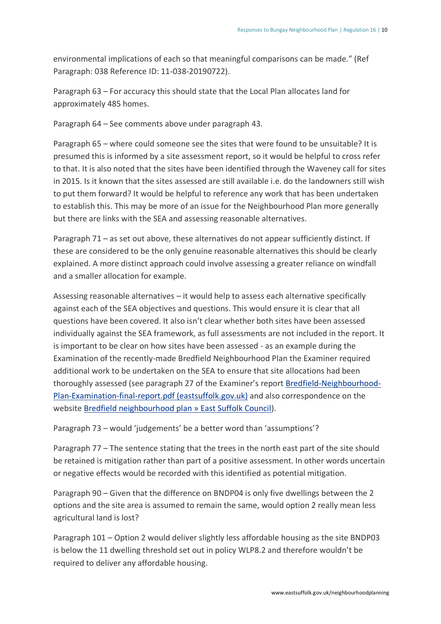environmental implications of each so that meaningful comparisons can be made." (Ref Paragraph: 038 Reference ID: 11-038-20190722).

Paragraph 63 – For accuracy this should state that the Local Plan allocates land for approximately 485 homes.

Paragraph 64 – See comments above under paragraph 43.

Paragraph 65 – where could someone see the sites that were found to be unsuitable? It is presumed this is informed by a site assessment report, so it would be helpful to cross refer to that. It is also noted that the sites have been identified through the Waveney call for sites in 2015. Is it known that the sites assessed are still available i.e. do the landowners still wish to put them forward? It would be helpful to reference any work that has been undertaken to establish this. This may be more of an issue for the Neighbourhood Plan more generally but there are links with the SEA and assessing reasonable alternatives.

Paragraph 71 – as set out above, these alternatives do not appear sufficiently distinct. If these are considered to be the only genuine reasonable alternatives this should be clearly explained. A more distinct approach could involve assessing a greater reliance on windfall and a smaller allocation for example.

Assessing reasonable alternatives – it would help to assess each alternative specifically against each of the SEA objectives and questions. This would ensure it is clear that all questions have been covered. It also isn't clear whether both sites have been assessed individually against the SEA framework, as full assessments are not included in the report. It is important to be clear on how sites have been assessed - as an example during the Examination of the recently-made Bredfield Neighbourhood Plan the Examiner required additional work to be undertaken on the SEA to ensure that site allocations had been thoroughly assessed (see paragraph 27 of the Examiner's report [Bredfield-Neighbourhood-](https://www.eastsuffolk.gov.uk/assets/Planning/Neighbourhood-Planning/Designated-Neighbourhood-Areas/Bredfield/Referendum/Bredfield-Neighbourhood-Plan-Examination-final-report.pdf)[Plan-Examination-final-report.pdf](https://www.eastsuffolk.gov.uk/assets/Planning/Neighbourhood-Planning/Designated-Neighbourhood-Areas/Bredfield/Referendum/Bredfield-Neighbourhood-Plan-Examination-final-report.pdf) (eastsuffolk.gov.uk) and also correspondence on the website Bredfield [neighbourhood](https://www.eastsuffolk.gov.uk/planning/neighbourhood-planning/neighbourhood-plans-in-the-area/bredfield-neighbourhood-plan/) plan » East Suffolk Council).

Paragraph 73 – would 'judgements' be a better word than 'assumptions'?

Paragraph 77 – The sentence stating that the trees in the north east part of the site should be retained is mitigation rather than part of a positive assessment. In other words uncertain or negative effects would be recorded with this identified as potential mitigation.

Paragraph 90 – Given that the difference on BNDP04 is only five dwellings between the 2 options and the site area is assumed to remain the same, would option 2 really mean less agricultural land is lost?

Paragraph 101 – Option 2 would deliver slightly less affordable housing as the site BNDP03 is below the 11 dwelling threshold set out in policy WLP8.2 and therefore wouldn't be required to deliver any affordable housing.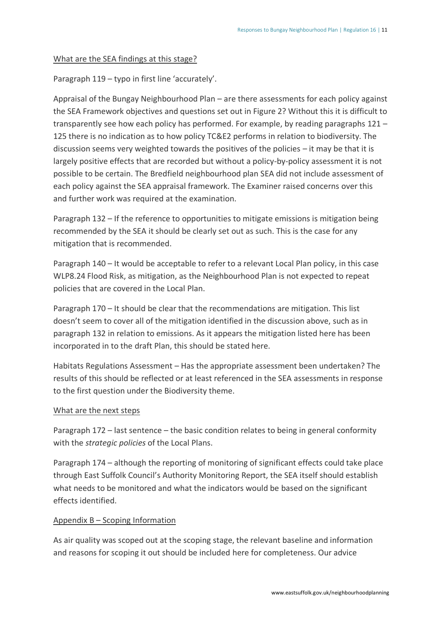#### What are the SEA findings at this stage?

Paragraph 119 – typo in first line 'accurately'.

Appraisal of the Bungay Neighbourhood Plan – are there assessments for each policy against the SEA Framework objectives and questions set out in Figure 2? Without this it is difficult to transparently see how each policy has performed. For example, by reading paragraphs 121 – 125 there is no indication as to how policy TC&E2 performs in relation to biodiversity. The discussion seems very weighted towards the positives of the policies – it may be that it is largely positive effects that are recorded but without a policy-by-policy assessment it is not possible to be certain. The Bredfield neighbourhood plan SEA did not include assessment of each policy against the SEA appraisal framework. The Examiner raised concerns over this and further work was required at the examination.

Paragraph 132 – If the reference to opportunities to mitigate emissions is mitigation being recommended by the SEA it should be clearly set out as such. This is the case for any mitigation that is recommended.

Paragraph 140 – It would be acceptable to refer to a relevant Local Plan policy, in this case WLP8.24 Flood Risk, as mitigation, as the Neighbourhood Plan is not expected to repeat policies that are covered in the Local Plan.

Paragraph 170 – It should be clear that the recommendations are mitigation. This list doesn't seem to cover all of the mitigation identified in the discussion above, such as in paragraph 132 in relation to emissions. As it appears the mitigation listed here has been incorporated in to the draft Plan, this should be stated here.

Habitats Regulations Assessment – Has the appropriate assessment been undertaken? The results of this should be reflected or at least referenced in the SEA assessments in response to the first question under the Biodiversity theme.

#### What are the next steps

Paragraph 172 – last sentence – the basic condition relates to being in general conformity with the *strategic policies* of the Local Plans.

Paragraph 174 – although the reporting of monitoring of significant effects could take place through East Suffolk Council's Authority Monitoring Report, the SEA itself should establish what needs to be monitored and what the indicators would be based on the significant effects identified.

#### Appendix B – Scoping Information

As air quality was scoped out at the scoping stage, the relevant baseline and information and reasons for scoping it out should be included here for completeness. Our advice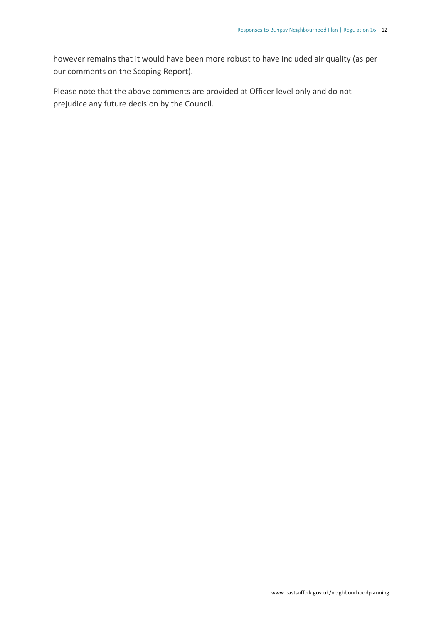however remains that it would have been more robust to have included air quality (as per our comments on the Scoping Report).

Please note that the above comments are provided at Officer level only and do not prejudice any future decision by the Council.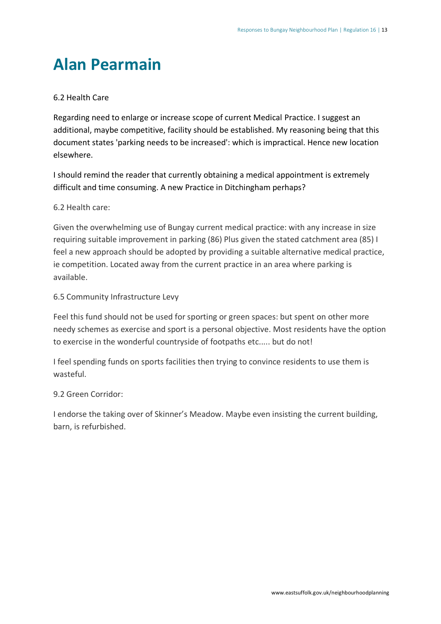### <span id="page-15-0"></span>**Alan Pearmain**

#### 6.2 Health Care

Regarding need to enlarge or increase scope of current Medical Practice. I suggest an additional, maybe competitive, facility should be established. My reasoning being that this document states 'parking needs to be increased': which is impractical. Hence new location elsewhere.

I should remind the reader that currently obtaining a medical appointment is extremely difficult and time consuming. A new Practice in Ditchingham perhaps?

#### 6.2 Health care:

Given the overwhelming use of Bungay current medical practice: with any increase in size requiring suitable improvement in parking (86) Plus given the stated catchment area (85) I feel a new approach should be adopted by providing a suitable alternative medical practice, ie competition. Located away from the current practice in an area where parking is available.

#### 6.5 Community Infrastructure Levy

Feel this fund should not be used for sporting or green spaces: but spent on other more needy schemes as exercise and sport is a personal objective. Most residents have the option to exercise in the wonderful countryside of footpaths etc..... but do not!

I feel spending funds on sports facilities then trying to convince residents to use them is wasteful.

#### 9.2 Green Corridor:

I endorse the taking over of Skinner's Meadow. Maybe even insisting the current building, barn, is refurbished.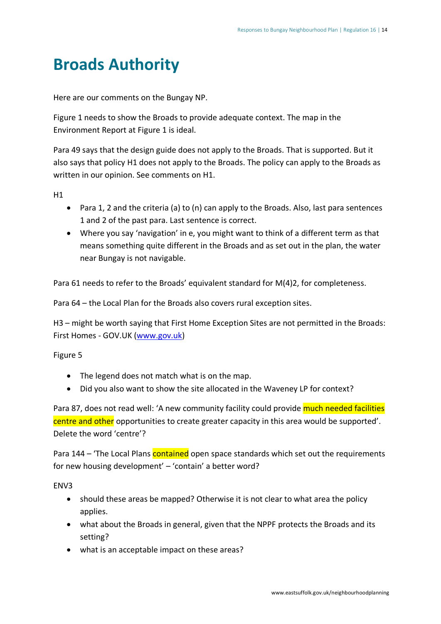### <span id="page-16-0"></span>**Broads Authority**

Here are our comments on the Bungay NP.

Figure 1 needs to show the Broads to provide adequate context. The map in the Environment Report at Figure 1 is ideal.

Para 49 says that the design guide does not apply to the Broads. That is supported. But it also says that policy H1 does not apply to the Broads. The policy can apply to the Broads as written in our opinion. See comments on H1.

H1

- Para 1, 2 and the criteria (a) to (n) can apply to the Broads. Also, last para sentences 1 and 2 of the past para. Last sentence is correct.
- Where you say 'navigation' in e, you might want to think of a different term as that means something quite different in the Broads and as set out in the plan, the water near Bungay is not navigable.

Para 61 needs to refer to the Broads' equivalent standard for M(4)2, for completeness.

Para 64 – the Local Plan for the Broads also covers rural exception sites.

H3 – might be worth saying that First Home Exception Sites are not permitted in the Broads: First Homes - GOV.UK [\(www.gov.uk\)](http://www.gov.uk/)

Figure 5

- The legend does not match what is on the map.
- Did you also want to show the site allocated in the Waveney LP for context?

Para 87, does not read well: 'A new community facility could provide much needed facilities centre and other opportunities to create greater capacity in this area would be supported'. Delete the word 'centre'?

Para 144 – 'The Local Plans contained open space standards which set out the requirements for new housing development' – 'contain' a better word?

ENV3

- should these areas be mapped? Otherwise it is not clear to what area the policy applies.
- what about the Broads in general, given that the NPPF protects the Broads and its setting?
- what is an acceptable impact on these areas?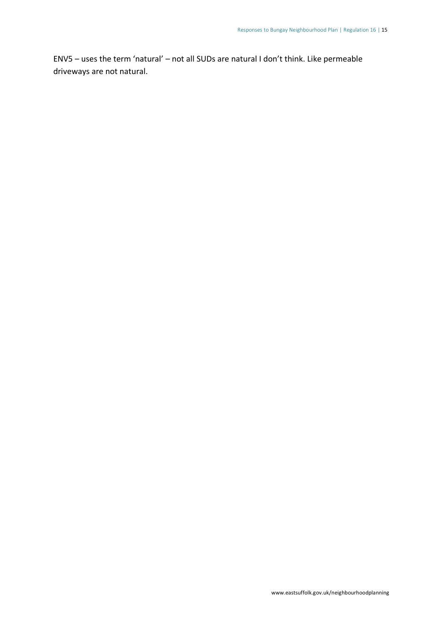ENV5 – uses the term 'natural' – not all SUDs are natural I don't think. Like permeable driveways are not natural.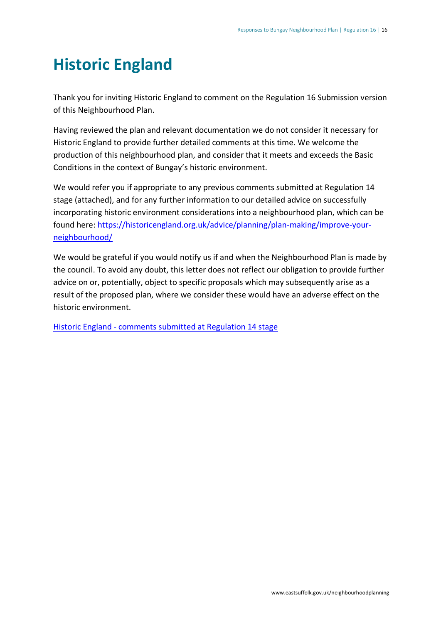### <span id="page-18-0"></span>**Historic England**

Thank you for inviting Historic England to comment on the Regulation 16 Submission version of this Neighbourhood Plan.

Having reviewed the plan and relevant documentation we do not consider it necessary for Historic England to provide further detailed comments at this time. We welcome the production of this neighbourhood plan, and consider that it meets and exceeds the Basic Conditions in the context of Bungay's historic environment.

We would refer you if appropriate to any previous comments submitted at Regulation 14 stage (attached), and for any further information to our detailed advice on successfully incorporating historic environment considerations into a neighbourhood plan, which can be found here: [https://historicengland.org.uk/advice/planning/plan-making/improve-your](https://historicengland.org.uk/advice/planning/plan-making/improve-your-neighbourhood/)[neighbourhood/](https://historicengland.org.uk/advice/planning/plan-making/improve-your-neighbourhood/)

We would be grateful if you would notify us if and when the Neighbourhood Plan is made by the council. To avoid any doubt, this letter does not reflect our obligation to provide further advice on or, potentially, object to specific proposals which may subsequently arise as a result of the proposed plan, where we consider these would have an adverse effect on the historic environment.

Historic England - [comments submitted at Regulation 14 stage](https://eastsuffolk.inconsult.uk/gf2.ti/af/1391266/529221/PDF/-/Historic%20England%20-%20comments%20submitted%20at%20Regulation%2014%20stage.pdf)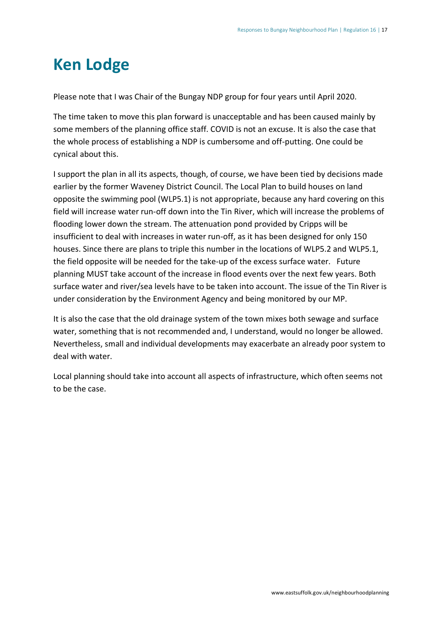### <span id="page-19-0"></span>**Ken Lodge**

Please note that I was Chair of the Bungay NDP group for four years until April 2020.

The time taken to move this plan forward is unacceptable and has been caused mainly by some members of the planning office staff. COVID is not an excuse. It is also the case that the whole process of establishing a NDP is cumbersome and off-putting. One could be cynical about this.

I support the plan in all its aspects, though, of course, we have been tied by decisions made earlier by the former Waveney District Council. The Local Plan to build houses on land opposite the swimming pool (WLP5.1) is not appropriate, because any hard covering on this field will increase water run-off down into the Tin River, which will increase the problems of flooding lower down the stream. The attenuation pond provided by Cripps will be insufficient to deal with increases in water run-off, as it has been designed for only 150 houses. Since there are plans to triple this number in the locations of WLP5.2 and WLP5.1, the field opposite will be needed for the take-up of the excess surface water. Future planning MUST take account of the increase in flood events over the next few years. Both surface water and river/sea levels have to be taken into account. The issue of the Tin River is under consideration by the Environment Agency and being monitored by our MP.

It is also the case that the old drainage system of the town mixes both sewage and surface water, something that is not recommended and, I understand, would no longer be allowed. Nevertheless, small and individual developments may exacerbate an already poor system to deal with water.

Local planning should take into account all aspects of infrastructure, which often seems not to be the case.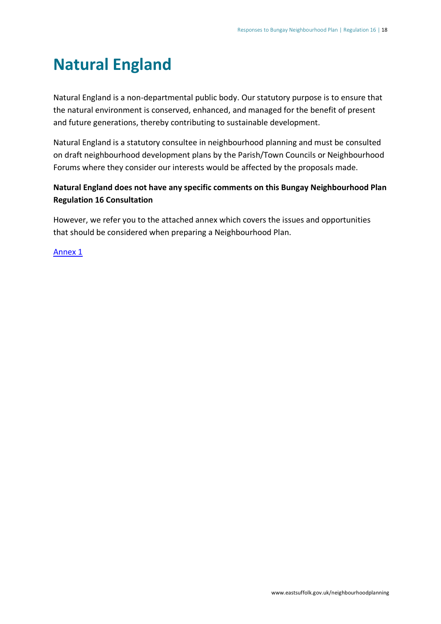### <span id="page-20-0"></span>**Natural England**

Natural England is a non-departmental public body. Our statutory purpose is to ensure that the natural environment is conserved, enhanced, and managed for the benefit of present and future generations, thereby contributing to sustainable development.

Natural England is a statutory consultee in neighbourhood planning and must be consulted on draft neighbourhood development plans by the Parish/Town Councils or Neighbourhood Forums where they consider our interests would be affected by the proposals made.

#### **Natural England does not have any specific comments on this Bungay Neighbourhood Plan Regulation 16 Consultation**

However, we refer you to the attached annex which covers the issues and opportunities that should be considered when preparing a Neighbourhood Plan.

#### [Annex 1](https://eastsuffolk.inconsult.uk/gf2.ti/af/1391266/528155/PDF/-/Natural%20England%20-%20Annex%201.pdf)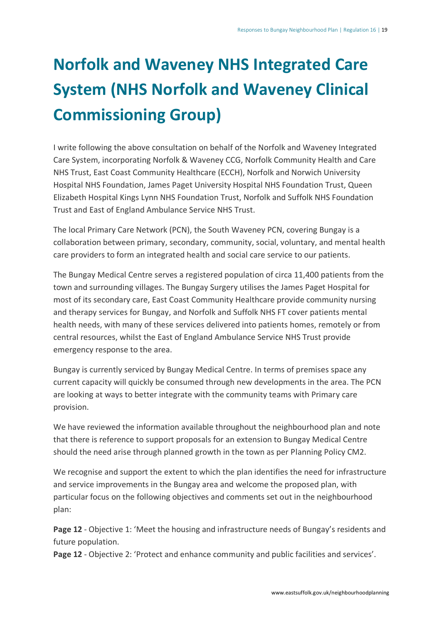## <span id="page-21-0"></span>**Norfolk and Waveney NHS Integrated Care System (NHS Norfolk and Waveney Clinical Commissioning Group)**

I write following the above consultation on behalf of the Norfolk and Waveney Integrated Care System, incorporating Norfolk & Waveney CCG, Norfolk Community Health and Care NHS Trust, East Coast Community Healthcare (ECCH), Norfolk and Norwich University Hospital NHS Foundation, James Paget University Hospital NHS Foundation Trust, Queen Elizabeth Hospital Kings Lynn NHS Foundation Trust, Norfolk and Suffolk NHS Foundation Trust and East of England Ambulance Service NHS Trust.

The local Primary Care Network (PCN), the South Waveney PCN, covering Bungay is a collaboration between primary, secondary, community, social, voluntary, and mental health care providers to form an integrated health and social care service to our patients.

The Bungay Medical Centre serves a registered population of circa 11,400 patients from the town and surrounding villages. The Bungay Surgery utilises the James Paget Hospital for most of its secondary care, East Coast Community Healthcare provide community nursing and therapy services for Bungay, and Norfolk and Suffolk NHS FT cover patients mental health needs, with many of these services delivered into patients homes, remotely or from central resources, whilst the East of England Ambulance Service NHS Trust provide emergency response to the area.

Bungay is currently serviced by Bungay Medical Centre. In terms of premises space any current capacity will quickly be consumed through new developments in the area. The PCN are looking at ways to better integrate with the community teams with Primary care provision.

We have reviewed the information available throughout the neighbourhood plan and note that there is reference to support proposals for an extension to Bungay Medical Centre should the need arise through planned growth in the town as per Planning Policy CM2.

We recognise and support the extent to which the plan identifies the need for infrastructure and service improvements in the Bungay area and welcome the proposed plan, with particular focus on the following objectives and comments set out in the neighbourhood plan:

**Page 12** - Objective 1: 'Meet the housing and infrastructure needs of Bungay's residents and future population.

**Page 12** - Objective 2: 'Protect and enhance community and public facilities and services'.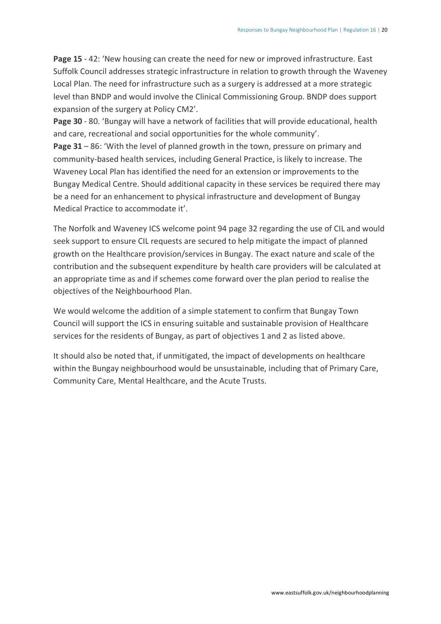**Page 15** - 42: 'New housing can create the need for new or improved infrastructure. East Suffolk Council addresses strategic infrastructure in relation to growth through the Waveney Local Plan. The need for infrastructure such as a surgery is addressed at a more strategic level than BNDP and would involve the Clinical Commissioning Group. BNDP does support expansion of the surgery at Policy CM2'.

**Page 30** - 80. 'Bungay will have a network of facilities that will provide educational, health and care, recreational and social opportunities for the whole community'.

**Page 31** – 86: 'With the level of planned growth in the town, pressure on primary and community-based health services, including General Practice, is likely to increase. The Waveney Local Plan has identified the need for an extension or improvements to the Bungay Medical Centre. Should additional capacity in these services be required there may be a need for an enhancement to physical infrastructure and development of Bungay Medical Practice to accommodate it'.

The Norfolk and Waveney ICS welcome point 94 page 32 regarding the use of CIL and would seek support to ensure CIL requests are secured to help mitigate the impact of planned growth on the Healthcare provision/services in Bungay. The exact nature and scale of the contribution and the subsequent expenditure by health care providers will be calculated at an appropriate time as and if schemes come forward over the plan period to realise the objectives of the Neighbourhood Plan.

We would welcome the addition of a simple statement to confirm that Bungay Town Council will support the ICS in ensuring suitable and sustainable provision of Healthcare services for the residents of Bungay, as part of objectives 1 and 2 as listed above.

It should also be noted that, if unmitigated, the impact of developments on healthcare within the Bungay neighbourhood would be unsustainable, including that of Primary Care, Community Care, Mental Healthcare, and the Acute Trusts.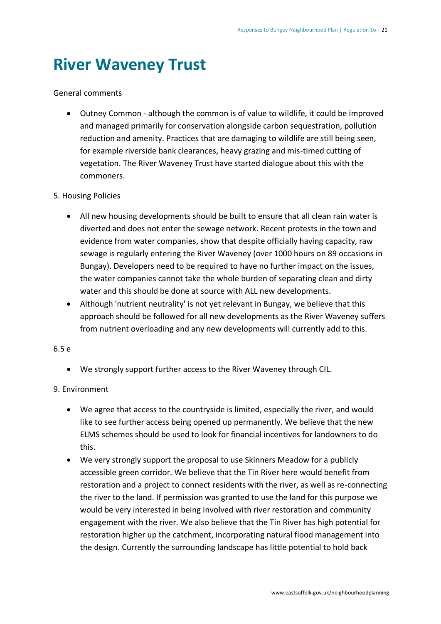### <span id="page-23-0"></span>**River Waveney Trust**

#### General comments

• Outney Common - although the common is of value to wildlife, it could be improved and managed primarily for conservation alongside carbon sequestration, pollution reduction and amenity. Practices that are damaging to wildlife are still being seen, for example riverside bank clearances, heavy grazing and mis-timed cutting of vegetation. The River Waveney Trust have started dialogue about this with the commoners.

#### 5. Housing Policies

- All new housing developments should be built to ensure that all clean rain water is diverted and does not enter the sewage network. Recent protests in the town and evidence from water companies, show that despite officially having capacity, raw sewage is regularly entering the River Waveney (over 1000 hours on 89 occasions in Bungay). Developers need to be required to have no further impact on the issues, the water companies cannot take the whole burden of separating clean and dirty water and this should be done at source with ALL new developments.
- Although 'nutrient neutrality' is not yet relevant in Bungay, we believe that this approach should be followed for all new developments as the River Waveney suffers from nutrient overloading and any new developments will currently add to this.

#### 6.5 e

• We strongly support further access to the River Waveney through CIL.

#### 9. Environment

- We agree that access to the countryside is limited, especially the river, and would like to see further access being opened up permanently. We believe that the new ELMS schemes should be used to look for financial incentives for landowners to do this.
- We very strongly support the proposal to use Skinners Meadow for a publicly accessible green corridor. We believe that the Tin River here would benefit from restoration and a project to connect residents with the river, as well as re-connecting the river to the land. If permission was granted to use the land for this purpose we would be very interested in being involved with river restoration and community engagement with the river. We also believe that the Tin River has high potential for restoration higher up the catchment, incorporating natural flood management into the design. Currently the surrounding landscape has little potential to hold back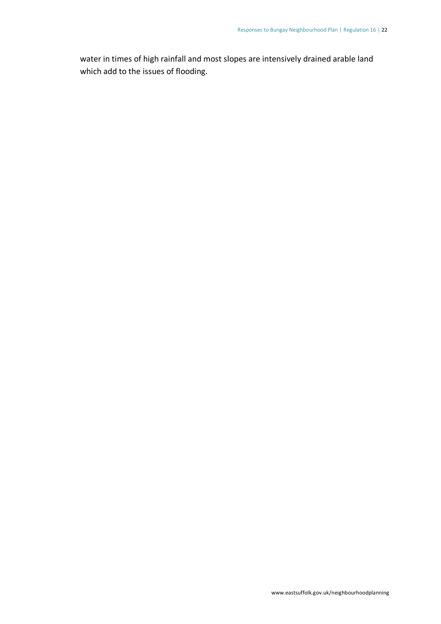water in times of high rainfall and most slopes are intensively drained arable land which add to the issues of flooding.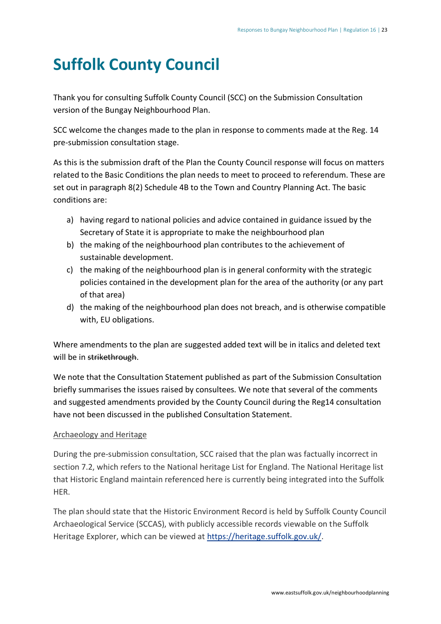### <span id="page-25-0"></span>**Suffolk County Council**

Thank you for consulting Suffolk County Council (SCC) on the Submission Consultation version of the Bungay Neighbourhood Plan.

SCC welcome the changes made to the plan in response to comments made at the Reg. 14 pre-submission consultation stage.

As this is the submission draft of the Plan the County Council response will focus on matters related to the Basic Conditions the plan needs to meet to proceed to referendum. These are set out in paragraph 8(2) Schedule 4B to the Town and Country Planning Act. The basic conditions are:

- a) having regard to national policies and advice contained in guidance issued by the Secretary of State it is appropriate to make the neighbourhood plan
- b) the making of the neighbourhood plan contributes to the achievement of sustainable development.
- c) the making of the neighbourhood plan is in general conformity with the strategic policies contained in the development plan for the area of the authority (or any part of that area)
- d) the making of the neighbourhood plan does not breach, and is otherwise compatible with, EU obligations.

Where amendments to the plan are suggested added text will be in italics and deleted text will be in strikethrough.

We note that the Consultation Statement published as part of the Submission Consultation briefly summarises the issues raised by consultees. We note that several of the comments and suggested amendments provided by the County Council during the Reg14 consultation have not been discussed in the published Consultation Statement.

#### Archaeology and Heritage

During the pre-submission consultation, SCC raised that the plan was factually incorrect in section 7.2, which refers to the National heritage List for England. The National Heritage list that Historic England maintain referenced here is currently being integrated into the Suffolk HER.

The plan should state that the Historic Environment Record is held by Suffolk County Council Archaeological Service (SCCAS), with publicly accessible records viewable on the Suffolk Heritage Explorer, which can be viewed at [https://heritage.suffolk.gov.uk/.](https://heritage.suffolk.gov.uk/)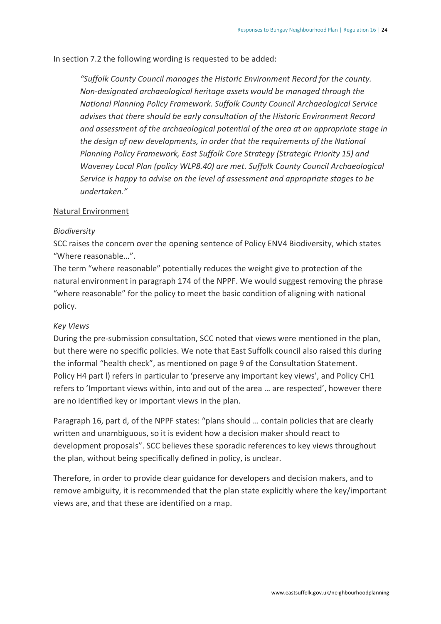In section 7.2 the following wording is requested to be added:

*"Suffolk County Council manages the Historic Environment Record for the county. Non-designated archaeological heritage assets would be managed through the National Planning Policy Framework. Suffolk County Council Archaeological Service advises that there should be early consultation of the Historic Environment Record and assessment of the archaeological potential of the area at an appropriate stage in the design of new developments, in order that the requirements of the National Planning Policy Framework, East Suffolk Core Strategy (Strategic Priority 15) and Waveney Local Plan (policy WLP8.40) are met. Suffolk County Council Archaeological Service is happy to advise on the level of assessment and appropriate stages to be undertaken."*

#### Natural Environment

#### *Biodiversity*

SCC raises the concern over the opening sentence of Policy ENV4 Biodiversity, which states "Where reasonable…".

The term "where reasonable" potentially reduces the weight give to protection of the natural environment in paragraph 174 of the NPPF. We would suggest removing the phrase "where reasonable" for the policy to meet the basic condition of aligning with national policy.

#### *Key Views*

During the pre-submission consultation, SCC noted that views were mentioned in the plan, but there were no specific policies. We note that East Suffolk council also raised this during the informal "health check", as mentioned on page 9 of the Consultation Statement. Policy H4 part l) refers in particular to 'preserve any important key views', and Policy CH1 refers to 'Important views within, into and out of the area … are respected', however there are no identified key or important views in the plan.

Paragraph 16, part d, of the NPPF states: "plans should … contain policies that are clearly written and unambiguous, so it is evident how a decision maker should react to development proposals". SCC believes these sporadic references to key views throughout the plan, without being specifically defined in policy, is unclear.

Therefore, in order to provide clear guidance for developers and decision makers, and to remove ambiguity, it is recommended that the plan state explicitly where the key/important views are, and that these are identified on a map.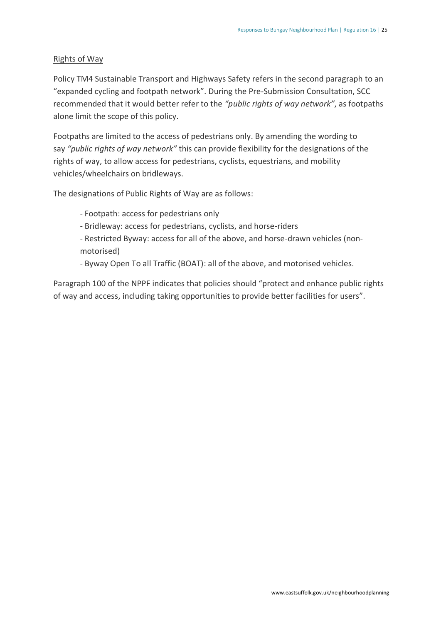#### Rights of Way

Policy TM4 Sustainable Transport and Highways Safety refers in the second paragraph to an "expanded cycling and footpath network". During the Pre-Submission Consultation, SCC recommended that it would better refer to the *"public rights of way network"*, as footpaths alone limit the scope of this policy.

Footpaths are limited to the access of pedestrians only. By amending the wording to say *"public rights of way network"* this can provide flexibility for the designations of the rights of way, to allow access for pedestrians, cyclists, equestrians, and mobility vehicles/wheelchairs on bridleways.

The designations of Public Rights of Way are as follows:

- Footpath: access for pedestrians only

- Bridleway: access for pedestrians, cyclists, and horse-riders

- Restricted Byway: access for all of the above, and horse-drawn vehicles (nonmotorised)

- Byway Open To all Traffic (BOAT): all of the above, and motorised vehicles.

Paragraph 100 of the NPPF indicates that policies should "protect and enhance public rights of way and access, including taking opportunities to provide better facilities for users".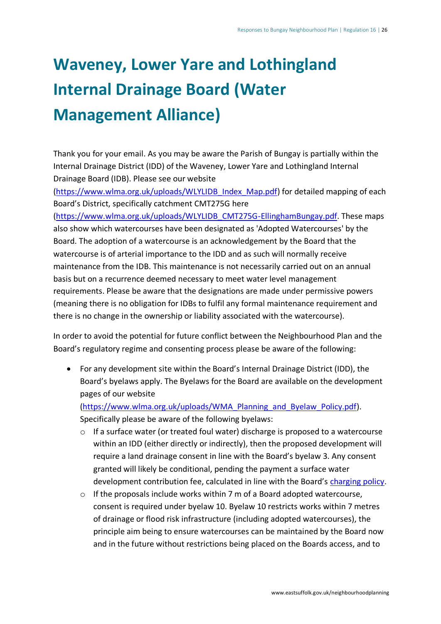## <span id="page-28-0"></span>**Waveney, Lower Yare and Lothingland Internal Drainage Board (Water Management Alliance)**

Thank you for your email. As you may be aware the Parish of Bungay is partially within the Internal Drainage District (IDD) of the Waveney, Lower Yare and Lothingland Internal Drainage Board (IDB). Please see our website

[\(https://www.wlma.org.uk/uploads/WLYLIDB\\_Index\\_Map.pdf\)](https://www.wlma.org.uk/uploads/WLYLIDB_Index_Map.pdf) for detailed mapping of each Board's District, specifically catchment CMT275G here

[\(https://www.wlma.org.uk/uploads/WLYLIDB\\_CMT275G-EllinghamBungay.pdf.](https://www.wlma.org.uk/uploads/WLYLIDB_CMT275G-EllinghamBungay.pdf) These maps also show which watercourses have been designated as 'Adopted Watercourses' by the Board. The adoption of a watercourse is an acknowledgement by the Board that the watercourse is of arterial importance to the IDD and as such will normally receive maintenance from the IDB. This maintenance is not necessarily carried out on an annual basis but on a recurrence deemed necessary to meet water level management requirements. Please be aware that the designations are made under permissive powers (meaning there is no obligation for IDBs to fulfil any formal maintenance requirement and there is no change in the ownership or liability associated with the watercourse).

In order to avoid the potential for future conflict between the Neighbourhood Plan and the Board's regulatory regime and consenting process please be aware of the following:

• For any development site within the Board's Internal Drainage District (IDD), the Board's byelaws apply. The Byelaws for the Board are available on the development pages of our website

[\(https://www.wlma.org.uk/uploads/WMA\\_Planning\\_and\\_Byelaw\\_Policy.pdf\)](https://www.wlma.org.uk/uploads/WMA_Planning_and_Byelaw_Policy.pdf). Specifically please be aware of the following byelaws:

- o If a surface water (or treated foul water) discharge is proposed to a watercourse within an IDD (either directly or indirectly), then the proposed development will require a land drainage consent in line with the Board's byelaw 3. Any consent granted will likely be conditional, pending the payment a surface water development contribution fee, calculated in line with the Board's [charging policy.](https://www.wlma.org.uk/uploads/WMA_Table_of_Charges_and_Fees.pdf)
- $\circ$  If the proposals include works within 7 m of a Board adopted watercourse, consent is required under byelaw 10. Byelaw 10 restricts works within 7 metres of drainage or flood risk infrastructure (including adopted watercourses), the principle aim being to ensure watercourses can be maintained by the Board now and in the future without restrictions being placed on the Boards access, and to